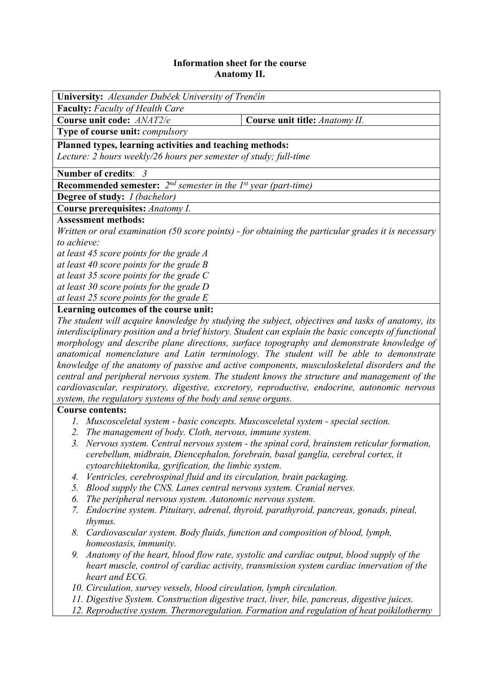## **Information sheet for the course Anatomy II.**

| <b>University:</b> Alexander Dubček University of Trenčín                                           |                                |  |  |  |
|-----------------------------------------------------------------------------------------------------|--------------------------------|--|--|--|
| <b>Faculty:</b> Faculty of Health Care                                                              |                                |  |  |  |
| Course unit code: ANAT2/e                                                                           | Course unit title: Anatomy II. |  |  |  |
| <b>Type of course unit:</b> <i>compulsory</i>                                                       |                                |  |  |  |
| Planned types, learning activities and teaching methods:                                            |                                |  |  |  |
| Lecture: 2 hours weekly/26 hours per semester of study; full-time                                   |                                |  |  |  |
| Number of credits: 3                                                                                |                                |  |  |  |
| <b>Recommended semester:</b> $2^{nd}$ semester in the 1 <sup>st</sup> year (part-time)              |                                |  |  |  |
| <b>Degree of study:</b> <i>I (bachelor)</i>                                                         |                                |  |  |  |
| Course prerequisites: Anatomy I.                                                                    |                                |  |  |  |
| <b>Assessment methods:</b>                                                                          |                                |  |  |  |
| Written or oral examination (50 score points) - for obtaining the particular grades it is necessary |                                |  |  |  |
| to achieve:                                                                                         |                                |  |  |  |
| at least 45 score points for the grade A                                                            |                                |  |  |  |
| at least 40 score points for the grade $B$                                                          |                                |  |  |  |
| at least 35 score points for the grade C                                                            |                                |  |  |  |
| at least 30 score points for the grade D                                                            |                                |  |  |  |
| at least 25 score points for the grade $E$                                                          |                                |  |  |  |
| Learning outcomes of the course unit:                                                               |                                |  |  |  |
| The student will acquire knowledge by studying the subject, objectives and tasks of anatomy, its    |                                |  |  |  |

*interdisciplinary position and a brief history. Student can explain the basic concepts of functional morphology and describe plane directions, surface topography and demonstrate knowledge of anatomical nomenclature and Latin terminology. The student will be able to demonstrate knowledge of the anatomy of passive and active components, musculoskeletal disorders and the central and peripheral nervous system. The student knows the structure and management of the cardiovascular, respiratory, digestive, excretory, reproductive, endocrine, autonomic nervous system, the regulatory systems of the body and sense organs.* 

## **Course contents:**

- *1. Muscosceletal system basic concepts. Muscosceletal system special section.*
- *2. The management of body. Cloth, nervous, immune system.*
- *3. Nervous system. Central nervous system the spinal cord, brainstem reticular formation, cerebellum, midbrain, Diencephalon, forebrain, basal ganglia, cerebral cortex, it cytoarchitektonika, gyrification, the limbic system.*
- *4. Ventricles, cerebrospinal fluid and its circulation, brain packaging.*
- *5. Blood supply the CNS. Lanes central nervous system. Cranial nerves.*
- *6. The peripheral nervous system. Autonomic nervous system.*
- *7. Endocrine system. Pituitary, adrenal, thyroid, parathyroid, pancreas, gonads, pineal, thymus.*
- *8. Cardiovascular system. Body fluids, function and composition of blood, lymph, homeostasis, immunity.*
- *9. Anatomy of the heart, blood flow rate, systolic and cardiac output, blood supply of the heart muscle, control of cardiac activity, transmission system cardiac innervation of the heart and ECG.*
- *10. Circulation, survey vessels, blood circulation, lymph circulation.*
- *11. Digestive System. Construction digestive tract, liver, bile, pancreas, digestive juices.*
- *12. Reproductive system. Thermoregulation. Formation and regulation of heat poikilothermy*